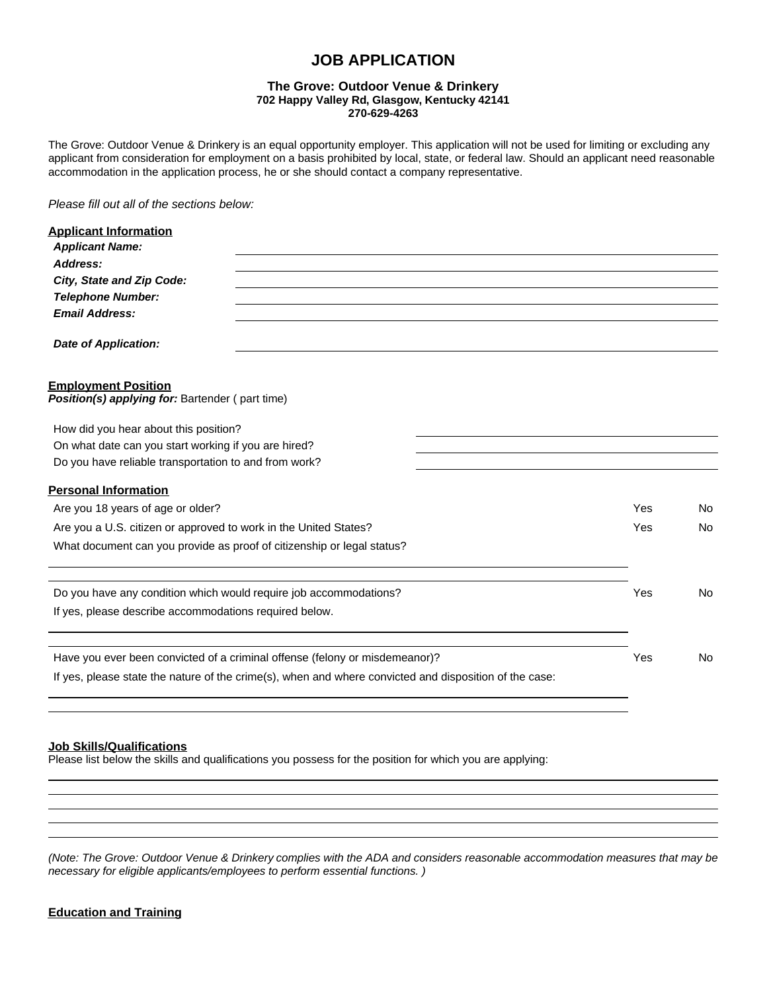## **JOB APPLICATION**

#### **The Grove: Outdoor Venue & Drinkery 702 Happy Valley Rd, Glasgow, Kentucky 42141 270-629-4263**

The Grove: Outdoor Venue & Drinkery is an equal opportunity employer. This application will not be used for limiting or excluding any applicant from consideration for employment on a basis prohibited by local, state, or federal law. Should an applicant need reasonable accommodation in the application process, he or she should contact a company representative.

*Please fill out all of the sections below:*

| <b>Applicant Information</b>                                                                           |     |                |
|--------------------------------------------------------------------------------------------------------|-----|----------------|
| <b>Applicant Name:</b>                                                                                 |     |                |
| Address:                                                                                               |     |                |
| City, State and Zip Code:                                                                              |     |                |
| <b>Telephone Number:</b>                                                                               |     |                |
| <b>Email Address:</b>                                                                                  |     |                |
| <b>Date of Application:</b>                                                                            |     |                |
| <b>Employment Position</b><br>Position(s) applying for: Bartender (part time)                          |     |                |
| How did you hear about this position?                                                                  |     |                |
| On what date can you start working if you are hired?                                                   |     |                |
| Do you have reliable transportation to and from work?                                                  |     |                |
| <b>Personal Information</b>                                                                            |     |                |
| Are you 18 years of age or older?                                                                      |     | No.            |
| Are you a U.S. citizen or approved to work in the United States?                                       |     | No             |
| What document can you provide as proof of citizenship or legal status?                                 |     |                |
| Do you have any condition which would require job accommodations?                                      | Yes | No.            |
| If yes, please describe accommodations required below.                                                 |     |                |
| Have you ever been convicted of a criminal offense (felony or misdemeanor)?                            | Yes | N <sub>0</sub> |
| If yes, please state the nature of the crime(s), when and where convicted and disposition of the case: |     |                |
|                                                                                                        |     |                |

## **Job Skills/Qualifications**

Please list below the skills and qualifications you possess for the position for which you are applying:

*(Note: The Grove: Outdoor Venue & Drinkery complies with the ADA and considers reasonable accommodation measures that may be necessary for eligible applicants/employees to perform essential functions. )*

### **Education and Training**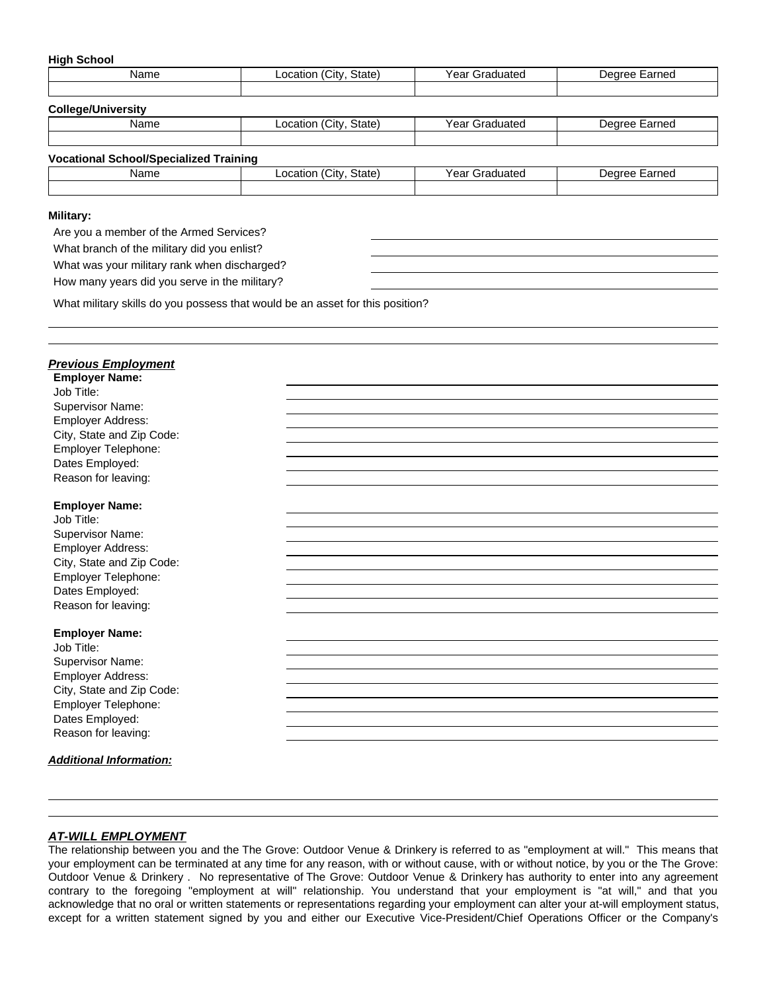#### **High School**

| Name | $\sim$<br>State)<br>, Citv<br>∟ocatior | $\overline{\phantom{0}}$<br>Year<br>Graduated | Earned<br>Dearee |
|------|----------------------------------------|-----------------------------------------------|------------------|
|      |                                        |                                               |                  |

#### **College/University**

| Name<br>— | State<br>ان ا<br>cation<br>— v | $V \cap T$<br>$-$<br>cdl<br>'dite | rnea<br>.ar |
|-----------|--------------------------------|-----------------------------------|-------------|
|           |                                |                                   |             |

# **Vocational School/Specialized Training**

| Name | $\sim$ $-$<br>State<br>nca<br>$\epsilon$<br>. | ca | arned<br>`~~~<br>$\sim$ |
|------|-----------------------------------------------|----|-------------------------|
|      |                                               |    |                         |

#### **Military:**

Are you a member of the Armed Services?

What branch of the military did you enlist?

What was your military rank when discharged?

How many years did you serve in the military?

What military skills do you possess that would be an asset for this position?

### *Previous Employment*

| <b>Employer Name:</b>          |  |
|--------------------------------|--|
| Job Title:                     |  |
| Supervisor Name:               |  |
| Employer Address:              |  |
| City, State and Zip Code:      |  |
| Employer Telephone:            |  |
| Dates Employed:                |  |
| Reason for leaving:            |  |
|                                |  |
| <b>Employer Name:</b>          |  |
| Job Title:                     |  |
| Supervisor Name:               |  |
| Employer Address:              |  |
| City, State and Zip Code:      |  |
| Employer Telephone:            |  |
| Dates Employed:                |  |
| Reason for leaving:            |  |
|                                |  |
| <b>Employer Name:</b>          |  |
| Job Title:                     |  |
| Supervisor Name:               |  |
| Employer Address:              |  |
| City, State and Zip Code:      |  |
| Employer Telephone:            |  |
| Dates Employed:                |  |
| Reason for leaving:            |  |
| <b>Additional Information:</b> |  |
|                                |  |

### *AT-WILL EMPLOYMENT*

The relationship between you and the The Grove: Outdoor Venue & Drinkery is referred to as "employment at will." This means that your employment can be terminated at any time for any reason, with or without cause, with or without notice, by you or the The Grove: Outdoor Venue & Drinkery . No representative of The Grove: Outdoor Venue & Drinkery has authority to enter into any agreement contrary to the foregoing "employment at will" relationship. You understand that your employment is "at will," and that you acknowledge that no oral or written statements or representations regarding your employment can alter your at-will employment status, except for a written statement signed by you and either our Executive Vice-President/Chief Operations Officer or the Company's